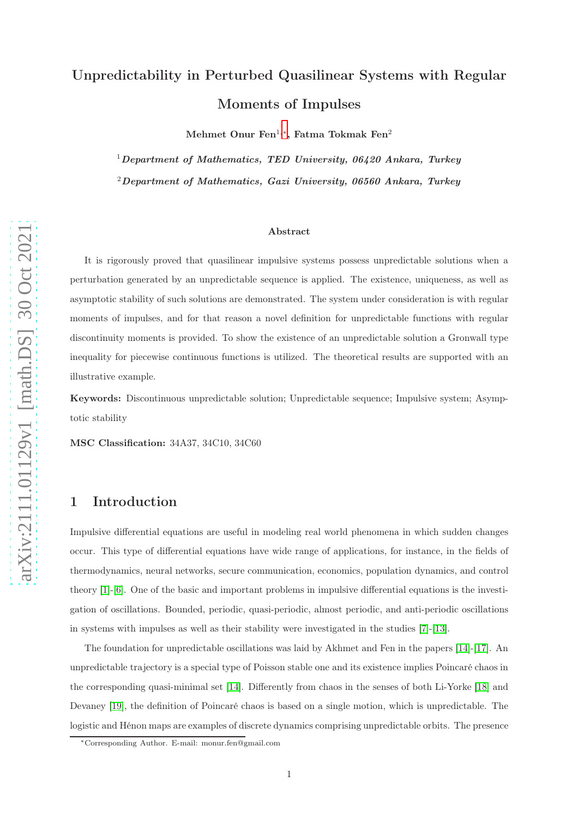# Unpredictability in Perturbed Quasilinear Systems with Regular Moments of Impulses

 $\rm{ Mehmet\ Onur\ Fen^{1,\ast}, \ Fatma\ Tokmak\ Fen^2}$ 

<sup>1</sup>Department of Mathematics, TED University,  $06420$  Ankara, Turkey  $2$ Department of Mathematics, Gazi University, 06560 Ankara, Turkey

#### Abstract

It is rigorously proved that quasilinear impulsive systems possess unpredictable solutions when a perturbation generated by an unpredictable sequence is applied. The existence, uniqueness, as well as asymptotic stability of such solutions are demonstrated. The system under consideration is with regular moments of impulses, and for that reason a novel definition for unpredictable functions with regular discontinuity moments is provided. To show the existence of an unpredictable solution a Gronwall type inequality for piecewise continuous functions is utilized. The theoretical results are supported with an illustrative example.

Keywords: Discontinuous unpredictable solution; Unpredictable sequence; Impulsive system; Asymptotic stability

MSC Classification: 34A37, 34C10, 34C60

#### 1 Introduction

Impulsive differential equations are useful in modeling real world phenomena in which sudden changes occur. This type of differential equations have wide range of applications, for instance, in the fields of thermodynamics, neural networks, secure communication, economics, population dynamics, and control theory [\[1\]](#page-17-0)-[\[6\]](#page-17-1). One of the basic and important problems in impulsive differential equations is the investigation of oscillations. Bounded, periodic, quasi-periodic, almost periodic, and anti-periodic oscillations in systems with impulses as well as their stability were investigated in the studies [\[7\]](#page-17-2)-[\[13\]](#page-17-3).

The foundation for unpredictable oscillations was laid by Akhmet and Fen in the papers [\[14\]](#page-18-0)-[\[17\]](#page-18-1). An unpredictable trajectory is a special type of Poisson stable one and its existence implies Poincaré chaos in the corresponding quasi-minimal set [\[14\]](#page-18-0). Differently from chaos in the senses of both Li-Yorke [\[18\]](#page-18-2) and Devaney [\[19\]](#page-18-3), the definition of Poincaré chaos is based on a single motion, which is unpredictable. The logistic and Hénon maps are examples of discrete dynamics comprising unpredictable orbits. The presence

<span id="page-0-0"></span><sup>∗</sup>Corresponding Author. E-mail: monur.fen@gmail.com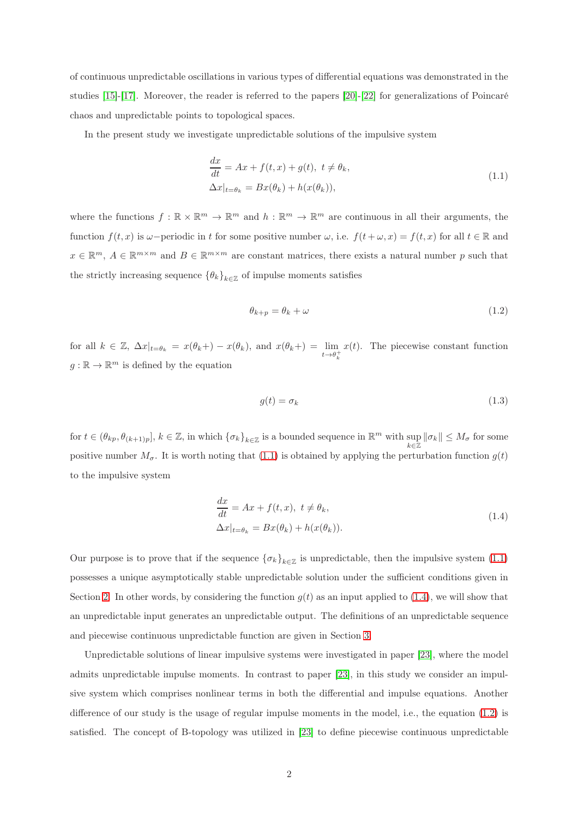of continuous unpredictable oscillations in various types of differential equations was demonstrated in the studies [\[15\]](#page-18-4)-[\[17\]](#page-18-1). Moreover, the reader is referred to the papers [\[20\]](#page-18-5)-[\[22\]](#page-18-6) for generalizations of Poincaré chaos and unpredictable points to topological spaces.

In the present study we investigate unpredictable solutions of the impulsive system

<span id="page-1-0"></span>
$$
\frac{dx}{dt} = Ax + f(t, x) + g(t), \ t \neq \theta_k,
$$
  

$$
\Delta x|_{t=\theta_k} = Bx(\theta_k) + h(x(\theta_k)),
$$
\n(1.1)

where the functions  $f : \mathbb{R} \times \mathbb{R}^m \to \mathbb{R}^m$  and  $h : \mathbb{R}^m \to \mathbb{R}^m$  are continuous in all their arguments, the function  $f(t, x)$  is  $\omega$ −periodic in t for some positive number  $\omega$ , i.e.  $f(t + \omega, x) = f(t, x)$  for all  $t \in \mathbb{R}$  and  $x \in \mathbb{R}^m$ ,  $A \in \mathbb{R}^{m \times m}$  and  $B \in \mathbb{R}^{m \times m}$  are constant matrices, there exists a natural number p such that the strictly increasing sequence  $\{\theta_k\}_{k\in\mathbb{Z}}$  of impulse moments satisfies

<span id="page-1-2"></span>
$$
\theta_{k+p} = \theta_k + \omega \tag{1.2}
$$

for all  $k \in \mathbb{Z}$ ,  $\Delta x|_{t=\theta_k} = x(\theta_k+) - x(\theta_k)$ , and  $x(\theta_k+) = \lim_{t \to \theta_k^+}$  $x(t)$ . The piecewise constant function  $g: \mathbb{R} \to \mathbb{R}^m$  is defined by the equation

$$
g(t) = \sigma_k \tag{1.3}
$$

for  $t \in (\theta_{kp}, \theta_{(k+1)p}], k \in \mathbb{Z}$ , in which  $\{\sigma_k\}_{k \in \mathbb{Z}}$  is a bounded sequence in  $\mathbb{R}^m$  with  $\sup_{k \in \mathbb{Z}} ||\sigma_k|| \leq M_\sigma$  for some positive number  $M_{\sigma}$ . It is worth noting that [\(1.1\)](#page-1-0) is obtained by applying the perturbation function  $g(t)$ to the impulsive system

<span id="page-1-1"></span>
$$
\frac{dx}{dt} = Ax + f(t, x), \ t \neq \theta_k,
$$
  

$$
\Delta x|_{t=\theta_k} = Bx(\theta_k) + h(x(\theta_k)).
$$
\n(1.4)

Our purpose is to prove that if the sequence  $\{\sigma_k\}_{k\in\mathbb{Z}}$  is unpredictable, then the impulsive system  $(1.1)$ possesses a unique asymptotically stable unpredictable solution under the sufficient conditions given in Section [2.](#page-2-0) In other words, by considering the function  $g(t)$  as an input applied to [\(1.4\)](#page-1-1), we will show that an unpredictable input generates an unpredictable output. The definitions of an unpredictable sequence and piecewise continuous unpredictable function are given in Section [3.](#page-4-0)

Unpredictable solutions of linear impulsive systems were investigated in paper [\[23\]](#page-18-7), where the model admits unpredictable impulse moments. In contrast to paper [\[23\]](#page-18-7), in this study we consider an impulsive system which comprises nonlinear terms in both the differential and impulse equations. Another difference of our study is the usage of regular impulse moments in the model, i.e., the equation [\(1.2\)](#page-1-2) is satisfied. The concept of B-topology was utilized in [\[23\]](#page-18-7) to define piecewise continuous unpredictable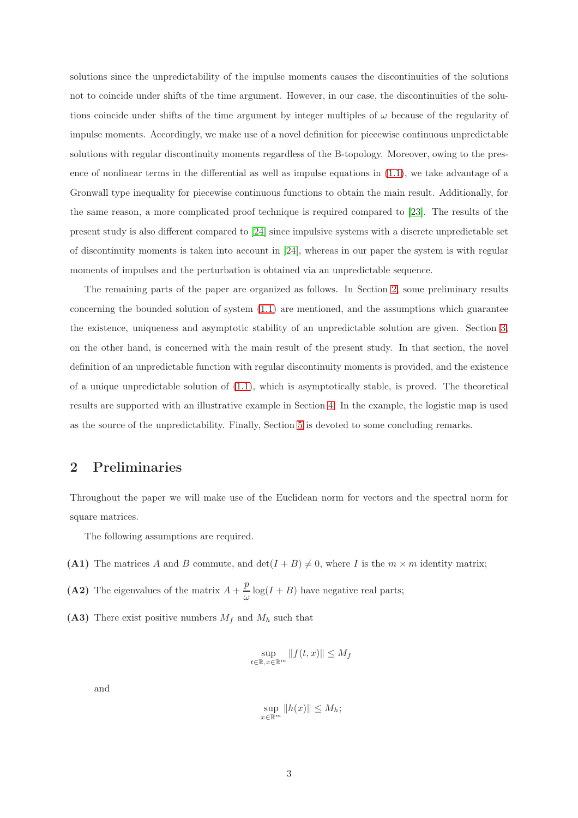solutions since the unpredictability of the impulse moments causes the discontinuities of the solutions not to coincide under shifts of the time argument. However, in our case, the discontinuities of the solutions coincide under shifts of the time argument by integer multiples of  $\omega$  because of the regularity of impulse moments. Accordingly, we make use of a novel definition for piecewise continuous unpredictable solutions with regular discontinuity moments regardless of the B-topology. Moreover, owing to the presence of nonlinear terms in the differential as well as impulse equations in [\(1.1\)](#page-1-0), we take advantage of a Gronwall type inequality for piecewise continuous functions to obtain the main result. Additionally, for the same reason, a more complicated proof technique is required compared to [\[23\]](#page-18-7). The results of the present study is also different compared to [\[24\]](#page-18-8) since impulsive systems with a discrete unpredictable set of discontinuity moments is taken into account in [\[24\]](#page-18-8), whereas in our paper the system is with regular moments of impulses and the perturbation is obtained via an unpredictable sequence.

The remaining parts of the paper are organized as follows. In Section [2,](#page-2-0) some preliminary results concerning the bounded solution of system  $(1.1)$  are mentioned, and the assumptions which guarantee the existence, uniqueness and asymptotic stability of an unpredictable solution are given. Section [3,](#page-4-0) on the other hand, is concerned with the main result of the present study. In that section, the novel definition of an unpredictable function with regular discontinuity moments is provided, and the existence of a unique unpredictable solution of  $(1.1)$ , which is asymptotically stable, is proved. The theoretical results are supported with an illustrative example in Section [4.](#page-14-0) In the example, the logistic map is used as the source of the unpredictability. Finally, Section [5](#page-16-0) is devoted to some concluding remarks.

### <span id="page-2-0"></span>2 Preliminaries

Throughout the paper we will make use of the Euclidean norm for vectors and the spectral norm for square matrices.

The following assumptions are required.

(A1) The matrices A and B commute, and  $\det(I + B) \neq 0$ , where I is the  $m \times m$  identity matrix;

(A2) The eigenvalues of the matrix  $A + \frac{p}{q}$  $\frac{P}{\omega}$  log(*I* + *B*) have negative real parts;

(A3) There exist positive numbers  $M_f$  and  $M_h$  such that

$$
\sup_{t \in \mathbb{R}, x \in \mathbb{R}^m} \|f(t, x)\| \le M_f
$$

and

$$
\sup_{x \in \mathbb{R}^m} \|h(x)\| \le M_h;
$$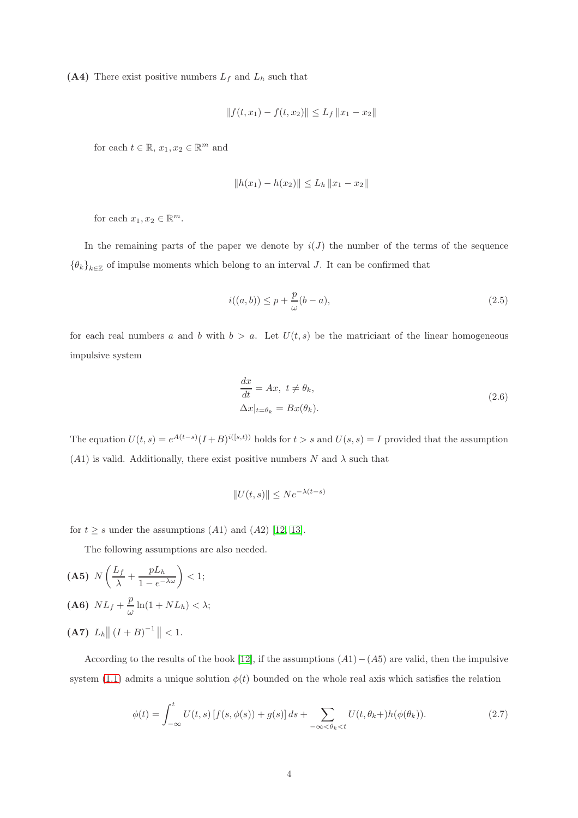(A4) There exist positive numbers  $L_f$  and  $L_h$  such that

$$
|| f(t, x_1) - f(t, x_2)|| \le L_f ||x_1 - x_2||
$$

for each  $t \in \mathbb{R}$ ,  $x_1, x_2 \in \mathbb{R}^m$  and

$$
||h(x_1) - h(x_2)|| \le L_h ||x_1 - x_2||
$$

for each  $x_1, x_2 \in \mathbb{R}^m$ .

In the remaining parts of the paper we denote by  $i(J)$  the number of the terms of the sequence  ${\lbrace \theta_k \rbrace}_{k \in \mathbb{Z}}$  of impulse moments which belong to an interval J. It can be confirmed that

<span id="page-3-1"></span>
$$
i((a,b)) \le p + \frac{p}{\omega}(b-a),\tag{2.5}
$$

for each real numbers a and b with  $b > a$ . Let  $U(t, s)$  be the matriciant of the linear homogeneous impulsive system

$$
\frac{dx}{dt} = Ax, \ t \neq \theta_k,
$$
  

$$
\Delta x|_{t=\theta_k} = Bx(\theta_k).
$$
 (2.6)

The equation  $U(t, s) = e^{A(t-s)}(I+B)^{i([s,t))}$  holds for  $t > s$  and  $U(s, s) = I$  provided that the assumption  $(A1)$  is valid. Additionally, there exist positive numbers N and  $\lambda$  such that

$$
||U(t,s)|| \le Ne^{-\lambda(t-s)}
$$

for  $t \geq s$  under the assumptions (A1) and (A2) [\[12,](#page-17-4) [13\]](#page-17-3).

The following assumptions are also needed.

$$
\begin{aligned} \textbf{(A5)} \ \ N\left(\frac{L_f}{\lambda} + \frac{pL_h}{1 - e^{-\lambda\omega}}\right) < 1;\\ \textbf{(A6)} \ \ NL_f + \frac{p}{\omega}\ln(1 + NL_h) < \lambda; \end{aligned}
$$

 $(A7) L<sub>h</sub> || (I + B)^{-1} || < 1.$ 

According to the results of the book [\[12\]](#page-17-4), if the assumptions  $(A1)-(A5)$  are valid, then the impulsive system [\(1.1\)](#page-1-0) admits a unique solution  $\phi(t)$  bounded on the whole real axis which satisfies the relation

<span id="page-3-0"></span>
$$
\phi(t) = \int_{-\infty}^{t} U(t,s) \left[ f(s,\phi(s)) + g(s) \right] ds + \sum_{-\infty < \theta_k < t} U(t,\theta_k +) h(\phi(\theta_k)).\tag{2.7}
$$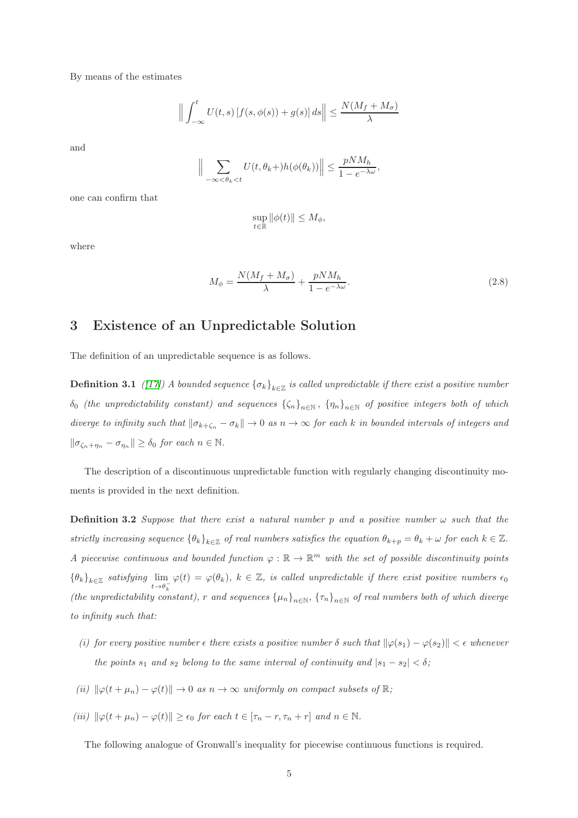By means of the estimates

$$
\Big\|\int_{-\infty}^t U(t,s)\left[f(s,\phi(s))+g(s)\right]ds\Big\|\leq \frac{N(M_f+M_\sigma)}{\lambda}
$$

and

$$
\Big\|\sum_{-\infty<\theta_k
$$

one can confirm that

$$
\sup_{t\in\mathbb{R}}\|\phi(t)\|\leq M_{\phi},
$$

where

<span id="page-4-3"></span>
$$
M_{\phi} = \frac{N(M_f + M_{\sigma})}{\lambda} + \frac{pNM_h}{1 - e^{-\lambda \omega}}.
$$
\n(2.8)

# <span id="page-4-0"></span>3 Existence of an Unpredictable Solution

The definition of an unpredictable sequence is as follows.

**Definition 3.1** ([\[17\]](#page-18-1)) A bounded sequence  $\{\sigma_k\}_{k\in\mathbb{Z}}$  is called unpredictable if there exist a positive number  $\delta_0$  (the unpredictability constant) and sequences  $\{\zeta_n\}_{n\in\mathbb{N}}$ ,  $\{\eta_n\}_{n\in\mathbb{N}}$  of positive integers both of which diverge to infinity such that  $\|\sigma_{k+\zeta_n} - \sigma_k\| \to 0$  as  $n \to \infty$  for each k in bounded intervals of integers and  $\|\sigma_{\zeta_n+\eta_n}-\sigma_{\eta_n}\|\geq \delta_0$  for each  $n\in\mathbb{N}$ .

<span id="page-4-2"></span>The description of a discontinuous unpredictable function with regularly changing discontinuity moments is provided in the next definition.

**Definition 3.2** Suppose that there exist a natural number p and a positive number  $\omega$  such that the strictly increasing sequence  $\{\theta_k\}_{k\in\mathbb{Z}}$  of real numbers satisfies the equation  $\theta_{k+p} = \theta_k + \omega$  for each  $k \in \mathbb{Z}$ . A piecewise continuous and bounded function  $\varphi : \mathbb{R} \to \mathbb{R}^m$  with the set of possible discontinuity points  ${\lbrace \theta_k \rbrace}_{k \in \mathbb{Z}}$  satisfying  $\lim_{t \to \theta_k^{-}} \varphi(t) = \varphi(\theta_k)$ ,  $k \in \mathbb{Z}$ , is called unpredictable if there exist positive numbers  $\epsilon_0$ (the unpredictability constant), r and sequences  $\{\mu_n\}_{n\in\mathbb{N}}$ ,  $\{\tau_n\}_{n\in\mathbb{N}}$  of real numbers both of which diverge to infinity such that:

- (i) for every positive number  $\epsilon$  there exists a positive number  $\delta$  such that  $\|\varphi(s_1) \varphi(s_2)\| < \epsilon$  whenever the points  $s_1$  and  $s_2$  belong to the same interval of continuity and  $|s_1 - s_2| < \delta$ ;
- (ii)  $\|\varphi(t + \mu_n) \varphi(t)\| \to 0$  as  $n \to \infty$  uniformly on compact subsets of  $\mathbb{R}$ ;
- (iii)  $\|\varphi(t + \mu_n) \varphi(t)\| \ge \epsilon_0$  for each  $t \in [\tau_n r, \tau_n + r]$  and  $n \in \mathbb{N}$ .

<span id="page-4-1"></span>The following analogue of Gronwall's inequality for piecewise continuous functions is required.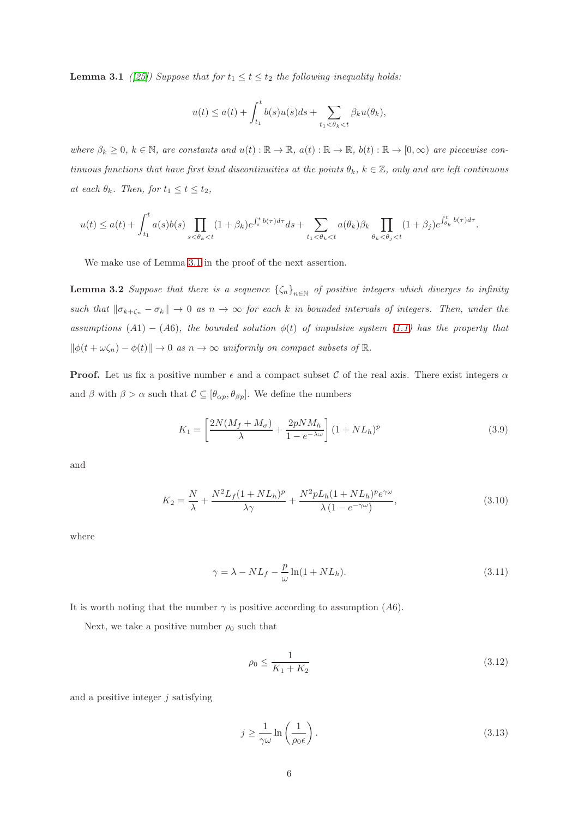**Lemma 3.1** ([\[25\]](#page-18-9)) Suppose that for  $t_1 \le t \le t_2$  the following inequality holds:

<span id="page-5-5"></span>
$$
u(t) \le a(t) + \int_{t_1}^t b(s)u(s)ds + \sum_{t_1 < \theta_k < t} \beta_k u(\theta_k),
$$

where  $\beta_k \geq 0$ ,  $k \in \mathbb{N}$ , are constants and  $u(t) : \mathbb{R} \to \mathbb{R}$ ,  $a(t) : \mathbb{R} \to \mathbb{R}$ ,  $b(t) : \mathbb{R} \to [0, \infty)$  are piecewise continuous functions that have first kind discontinuities at the points  $\theta_k$ ,  $k \in \mathbb{Z}$ , only and are left continuous at each  $\theta_k$ . Then, for  $t_1 \leq t \leq t_2$ ,

$$
u(t) \le a(t) + \int_{t_1}^t a(s)b(s) \prod_{s < \theta_k < t} (1+\beta_k)e^{\int_s^t b(\tau)d\tau} ds + \sum_{t_1 < \theta_k < t} a(\theta_k)\beta_k \prod_{\theta_k < \theta_j < t} (1+\beta_j)e^{\int_{\theta_k}^t b(\tau)d\tau}.
$$

We make use of Lemma [3.1](#page-4-1) in the proof of the next assertion.

**Lemma 3.2** Suppose that there is a sequence  $\{\zeta_n\}_{n\in\mathbb{N}}$  of positive integers which diverges to infinity such that  $\|\sigma_{k+\zeta_n} - \sigma_k\| \to 0$  as  $n \to \infty$  for each k in bounded intervals of integers. Then, under the assumptions (A1) – (A6), the bounded solution  $\phi(t)$  of impulsive system [\(1.1\)](#page-1-0) has the property that  $\|\phi(t + \omega \zeta_n) - \phi(t)\| \to 0$  as  $n \to \infty$  uniformly on compact subsets of  $\mathbb{R}$ .

**Proof.** Let us fix a positive number  $\epsilon$  and a compact subset C of the real axis. There exist integers  $\alpha$ and  $\beta$  with  $\beta > \alpha$  such that  $\mathcal{C} \subseteq [\theta_{\alpha p}, \theta_{\beta p}]$ . We define the numbers

<span id="page-5-1"></span>
$$
K_1 = \left[\frac{2N(M_f + M_\sigma)}{\lambda} + \frac{2pNM_h}{1 - e^{-\lambda\omega}}\right] (1 + NL_h)^p \tag{3.9}
$$

and

<span id="page-5-2"></span>
$$
K_2 = \frac{N}{\lambda} + \frac{N^2 L_f (1 + NL_h)^p}{\lambda \gamma} + \frac{N^2 p L_h (1 + NL_h)^p e^{\gamma \omega}}{\lambda (1 - e^{-\gamma \omega})},\tag{3.10}
$$

where

<span id="page-5-0"></span>
$$
\gamma = \lambda - NL_f - \frac{p}{\omega} \ln(1 + NL_h). \tag{3.11}
$$

It is worth noting that the number  $\gamma$  is positive according to assumption (A6).

Next, we take a positive number  $\rho_0$  such that

<span id="page-5-4"></span>
$$
\rho_0 \le \frac{1}{K_1 + K_2} \tag{3.12}
$$

and a positive integer  $i$  satisfying

<span id="page-5-3"></span>
$$
j \ge \frac{1}{\gamma \omega} \ln \left( \frac{1}{\rho_0 \epsilon} \right). \tag{3.13}
$$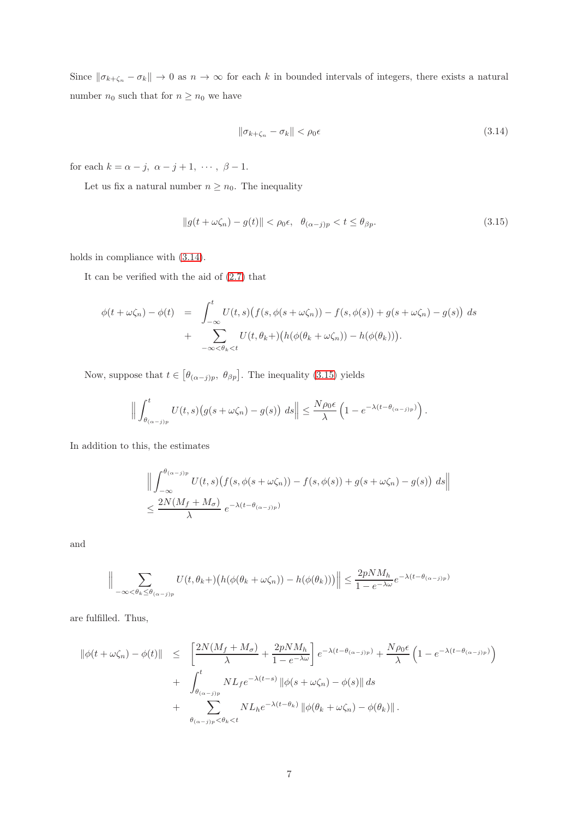Since  $\|\sigma_{k+\zeta_n} - \sigma_k\| \to 0$  as  $n \to \infty$  for each k in bounded intervals of integers, there exists a natural number  $n_0$  such that for  $n \geq n_0$  we have

<span id="page-6-0"></span>
$$
\|\sigma_{k+\zeta_n} - \sigma_k\| < \rho_0 \epsilon \tag{3.14}
$$

for each  $k = \alpha - j$ ,  $\alpha - j + 1$ ,  $\cdots$ ,  $\beta - 1$ .

Let us fix a natural number  $n \geq n_0$ . The inequality

<span id="page-6-1"></span>
$$
||g(t + \omega \zeta_n) - g(t)|| < \rho_0 \epsilon, \quad \theta_{(\alpha - j)p} < t \le \theta_{\beta p}.
$$
\n(3.15)

holds in compliance with [\(3.14\)](#page-6-0).

It can be verified with the aid of [\(2.7\)](#page-3-0) that

$$
\phi(t+\omega\zeta_n)-\phi(t) = \int_{-\infty}^t U(t,s)\big(f(s,\phi(s+\omega\zeta_n)) - f(s,\phi(s)) + g(s+\omega\zeta_n) - g(s)\big) ds
$$
  
+ 
$$
\sum_{-\infty < \theta_k < t} U(t,\theta_k+) \big(h(\phi(\theta_k+\omega\zeta_n)) - h(\phi(\theta_k))\big).
$$

Now, suppose that  $t \in [\theta_{(\alpha-j)p}, \theta_{\beta p}]$ . The inequality [\(3.15\)](#page-6-1) yields

$$
\Big\|\int_{\theta_{(\alpha-j)p}}^t U(t,s)\big(g(s+\omega\zeta_n)-g(s)\big)\ ds\Big\|\leq \frac{N\rho_0\epsilon}{\lambda}\left(1-e^{-\lambda(t-\theta_{(\alpha-j)p})}\right).
$$

In addition to this, the estimates

$$
\left\| \int_{-\infty}^{\theta_{(\alpha-j)p}} U(t,s) \big( f(s, \phi(s+\omega\zeta_n)) - f(s, \phi(s)) + g(s+\omega\zeta_n) - g(s) \big) ds \right\|
$$
  

$$
\leq \frac{2N(M_f+M_\sigma)}{\lambda} e^{-\lambda(t-\theta_{(\alpha-j)p})}
$$

and

$$
\Big\|\sum_{-\infty<\theta_k\leq\theta_{(\alpha-j)p}}U(t,\theta_k+)\big(h(\phi(\theta_k+\omega\zeta_n))-h(\phi(\theta_k))\big)\Big\|\leq\frac{2pNM_h}{1-e^{-\lambda\omega}}e^{-\lambda(t-\theta_{(\alpha-j)p})}
$$

are fulfilled. Thus,

$$
\begin{split} \|\phi(t+\omega\zeta_n)-\phi(t)\| &\leq \left[\frac{2N(M_f+M_\sigma)}{\lambda}+\frac{2pNM_h}{1-e^{-\lambda\omega}}\right]e^{-\lambda(t-\theta_{(\alpha-j)p})}+\frac{N\rho_0\epsilon}{\lambda}\left(1-e^{-\lambda(t-\theta_{(\alpha-j)p})}\right) \\ &+ \left.\int_{\theta_{(\alpha-j)p}}^t NL_f e^{-\lambda(t-s)}\left\|\phi(s+\omega\zeta_n)-\phi(s)\right\|ds \\ &+ \left.\sum_{\theta_{(\alpha-j)p}<\theta_k
$$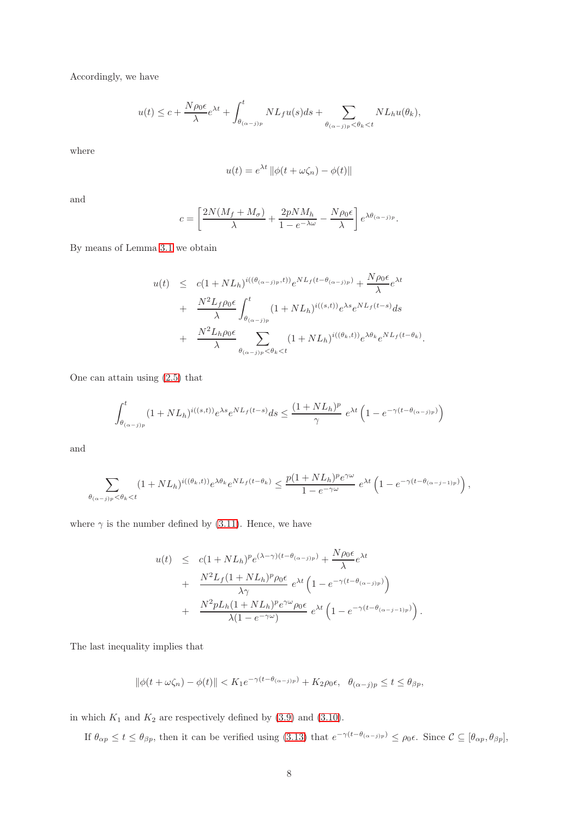Accordingly, we have

$$
u(t) \leq c + \frac{N\rho_0 \epsilon}{\lambda} e^{\lambda t} + \int_{\theta_{(\alpha-j)p}}^t NL_f u(s) ds + \sum_{\theta_{(\alpha-j)p} < \theta_k < t} NL_h u(\theta_k),
$$

where

$$
u(t) = e^{\lambda t} \left\| \phi(t + \omega \zeta_n) - \phi(t) \right\|
$$

and

$$
c = \left[\frac{2N(M_f+M_\sigma)}{\lambda} + \frac{2pNM_h}{1-e^{-\lambda\omega}} - \frac{N\rho_0\epsilon}{\lambda}\right]e^{\lambda\theta_{(\alpha-j)p}}.
$$

By means of Lemma [3.1](#page-4-1) we obtain

$$
u(t) \leq c(1 + NL_h)^{i((\theta_{(\alpha-j)p}, t))} e^{NL_f(t - \theta_{(\alpha-j)p})} + \frac{N\rho_0 \epsilon}{\lambda} e^{\lambda t}
$$
  
+ 
$$
\frac{N^2 L_f \rho_0 \epsilon}{\lambda} \int_{\theta_{(\alpha-j)p}}^t (1 + NL_h)^{i((s,t))} e^{\lambda s} e^{NL_f(t-s)} ds
$$
  
+ 
$$
\frac{N^2 L_h \rho_0 \epsilon}{\lambda} \sum_{\theta_{(\alpha-j)p} < \theta_k < t} (1 + NL_h)^{i((\theta_k, t))} e^{\lambda \theta_k} e^{NL_f(t - \theta_k)}
$$

.

One can attain using [\(2.5\)](#page-3-1) that

$$
\int_{\theta_{(\alpha-j)p}}^{t} (1+NL_h)^{i((s,t))} e^{\lambda s} e^{NL_f(t-s)} ds \le \frac{(1+NL_h)^p}{\gamma} e^{\lambda t} \left(1 - e^{-\gamma(t-\theta_{(\alpha-j)p})}\right)
$$

and

$$
\sum_{\theta_{(\alpha-j)p} < \theta_k < t} (1 + NL_h)^{i((\theta_k, t))} e^{\lambda \theta_k} e^{NL_f(t - \theta_k)} \leq \frac{p(1 + NL_h)^p e^{\gamma \omega}}{1 - e^{-\gamma \omega}} e^{\lambda t} \left(1 - e^{-\gamma (t - \theta_{(\alpha-j-1)p})}\right),
$$

where  $\gamma$  is the number defined by [\(3.11\)](#page-5-0). Hence, we have

$$
u(t) \leq c(1 + NL_h)^p e^{(\lambda - \gamma)(t - \theta_{(\alpha - j)p})} + \frac{N\rho_0 \epsilon}{\lambda} e^{\lambda t} + \frac{N^2 L_f (1 + NL_h)^p \rho_0 \epsilon}{\lambda \gamma} e^{\lambda t} \left(1 - e^{-\gamma(t - \theta_{(\alpha - j)p})}\right) + \frac{N^2 p L_h (1 + NL_h)^p e^{\gamma \omega} \rho_0 \epsilon}{\lambda (1 - e^{-\gamma \omega})} e^{\lambda t} \left(1 - e^{-\gamma(t - \theta_{(\alpha - j - 1)p})}\right).
$$

The last inequality implies that

$$
\|\phi(t+\omega\zeta_n)-\phi(t)\|
$$

in which  $K_1$  and  $K_2$  are respectively defined by  $(3.9)$  and  $(3.10)$ .

If  $\theta_{\alpha p} \le t \le \theta_{\beta p}$ , then it can be verified using [\(3.13\)](#page-5-3) that  $e^{-\gamma(t-\theta_{(\alpha-j)p})} \le \rho_0 \epsilon$ . Since  $\mathcal{C} \subseteq [\theta_{\alpha p}, \theta_{\beta p}]$ ,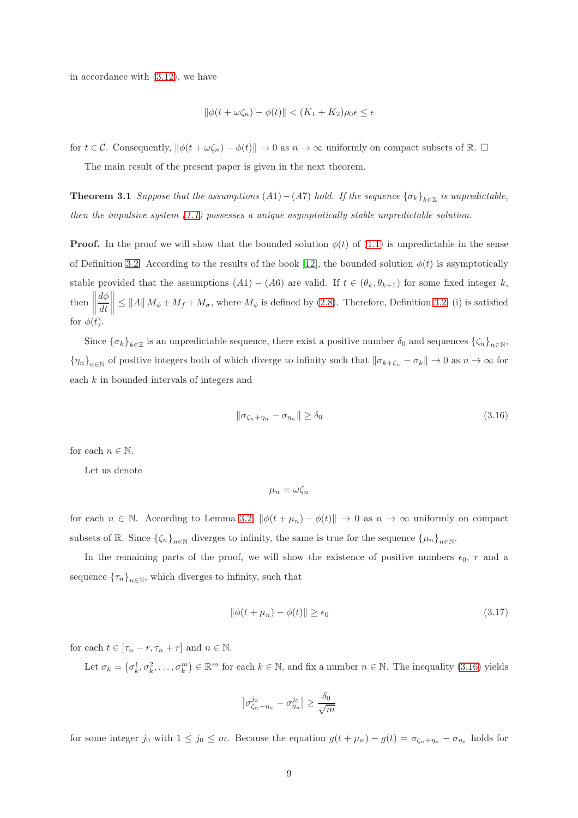in accordance with [\(3.12\)](#page-5-4), we have

$$
\|\phi(t+\omega\zeta_n)-\phi(t)\| < (K_1+K_2)\rho_0\epsilon \leq \epsilon
$$

<span id="page-8-2"></span>for  $t \in \mathcal{C}$ . Consequently,  $\|\phi(t + \omega \zeta_n) - \phi(t)\| \to 0$  as  $n \to \infty$  uniformly on compact subsets of R.  $\Box$ 

The main result of the present paper is given in the next theorem.

**Theorem 3.1** Suppose that the assumptions  $(A1) - (A7)$  hold. If the sequence  $\{\sigma_k\}_{k \in \mathbb{Z}}$  is unpredictable, then the impulsive system  $(1.1)$  possesses a unique asymptotically stable unpredictable solution.

**Proof.** In the proof we will show that the bounded solution  $\phi(t)$  of [\(1.1\)](#page-1-0) is unpredictable in the sense of Definition [3.2.](#page-4-2) According to the results of the book [\[12\]](#page-17-4), the bounded solution  $\phi(t)$  is asymptotically stable provided that the assumptions  $(A1) - (A6)$  are valid. If  $t \in (\theta_k, \theta_{k+1})$  for some fixed integer k, then  $\begin{tabular}{|c|c|c|c|} \hline \rule{0pt}{2ex} \rule{0pt}{2ex} \rule{0pt}{2ex} \rule{0pt}{2ex} \rule{0pt}{2ex} \rule{0pt}{2ex} \rule{0pt}{2ex} \rule{0pt}{2ex} \rule{0pt}{2ex} \rule{0pt}{2ex} \rule{0pt}{2ex} \rule{0pt}{2ex} \rule{0pt}{2ex} \rule{0pt}{2ex} \rule{0pt}{2ex} \rule{0pt}{2ex} \rule{0pt}{2ex} \rule{0pt}{2ex} \rule{0pt}{2ex} \rule{0pt}{2ex} \rule{0pt}{2ex} \rule{0pt}{2ex} \rule{$  $d\phi$ dt  $\|\leq \|A\| M_{\phi} + M_f + M_{\sigma}$ , where  $M_{\phi}$  is defined by [\(2.8\)](#page-4-3). Therefore, Definition [3.2,](#page-4-2) (i) is satisfied for  $\phi(t)$ .

Since  $\{\sigma_k\}_{k\in\mathbb{Z}}$  is an unpredictable sequence, there exist a positive number  $\delta_0$  and sequences  $\{\zeta_n\}_{n\in\mathbb{N}}$ ,  $\{\eta_n\}_{n\in\mathbb{N}}$  of positive integers both of which diverge to infinity such that  $\|\sigma_{k+\zeta_n} - \sigma_k\| \to 0$  as  $n \to \infty$  for each k in bounded intervals of integers and

<span id="page-8-0"></span>
$$
\|\sigma_{\zeta_n + \eta_n} - \sigma_{\eta_n}\| \ge \delta_0 \tag{3.16}
$$

for each  $n \in \mathbb{N}$ .

Let us denote

$$
\mu_n = \omega \zeta_n
$$

for each  $n \in \mathbb{N}$ . According to Lemma [3.2,](#page-5-5)  $\|\phi(t + \mu_n) - \phi(t)\| \to 0$  as  $n \to \infty$  uniformly on compact subsets of  $\mathbb{R}$ . Since  $\{\zeta_n\}_{n\in\mathbb{N}}$  diverges to infinity, the same is true for the sequence  $\{\mu_n\}_{n\in\mathbb{N}}$ .

In the remaining parts of the proof, we will show the existence of positive numbers  $\epsilon_0$ , r and a sequence  $\{\tau_n\}_{n\in\mathbb{N}}$ , which diverges to infinity, such that

<span id="page-8-1"></span>
$$
\|\phi(t + \mu_n) - \phi(t)\| \ge \epsilon_0 \tag{3.17}
$$

for each  $t \in [\tau_n - r, \tau_n + r]$  and  $n \in \mathbb{N}$ .

Let  $\sigma_k = (\sigma_k^1, \sigma_k^2, \dots, \sigma_k^m) \in \mathbb{R}^m$  for each  $k \in \mathbb{N}$ , and fix a number  $n \in \mathbb{N}$ . The inequality [\(3.16\)](#page-8-0) yields

$$
\left|\sigma_{\zeta_n+\eta_n}^{j_0}-\sigma_{\eta_n}^{j_0}\right|\geq \frac{\delta_0}{\sqrt{m}}
$$

for some integer j<sub>0</sub> with  $1 \le j_0 \le m$ . Because the equation  $g(t + \mu_n) - g(t) = \sigma_{\zeta_n + \eta_n} - \sigma_{\eta_n}$  holds for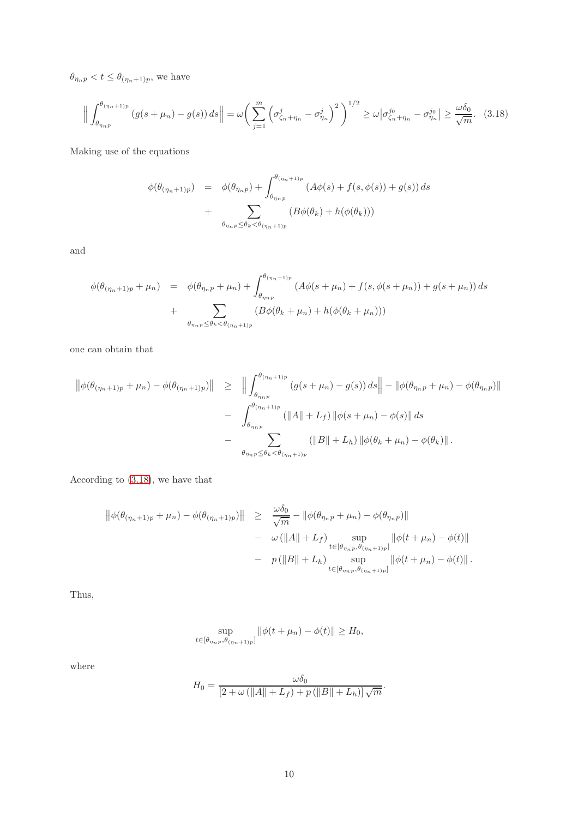$\theta_{\eta_n p} < t \leq \theta_{(\eta_n+1)p}$ , we have

<span id="page-9-0"></span>
$$
\left\| \int_{\theta_{\eta_{np}}}^{\theta_{(\eta_n+1)p}} \left( g(s+\mu_n) - g(s) \right) ds \right\| = \omega \left( \sum_{j=1}^m \left( \sigma_{\zeta_n+\eta_n}^j - \sigma_{\eta_n}^j \right)^2 \right)^{1/2} \ge \omega \left| \sigma_{\zeta_n+\eta_n}^{j_0} - \sigma_{\eta_n}^{j_0} \right| \ge \frac{\omega \delta_0}{\sqrt{m}}. \tag{3.18}
$$

Making use of the equations

$$
\phi(\theta_{(\eta_n+1)p}) = \phi(\theta_{\eta_n p}) + \int_{\theta_{\eta_n p}}^{\theta_{(\eta_n+1)p}} (A\phi(s) + f(s, \phi(s)) + g(s)) ds
$$
  
+ 
$$
\sum_{\theta_{\eta_n p} \leq \theta_k < \theta_{(\eta_n+1)p}} (B\phi(\theta_k) + h(\phi(\theta_k)))
$$

and

$$
\phi(\theta_{(\eta_n+1)p} + \mu_n) = \phi(\theta_{\eta_n p} + \mu_n) + \int_{\theta_{\eta_n p}}^{\theta_{(\eta_n+1)p}} (A\phi(s+\mu_n) + f(s, \phi(s+\mu_n)) + g(s+\mu_n)) ds + \sum_{\theta_{\eta_n p} \le \theta_k < \theta_{(\eta_n+1)p}} (B\phi(\theta_k + \mu_n) + h(\phi(\theta_k + \mu_n)))
$$

one can obtain that

$$
\begin{split} \left\| \phi(\theta_{(\eta_{n}+1)p} + \mu_{n}) - \phi(\theta_{(\eta_{n}+1)p}) \right\| &\geq \left\| \int_{\theta_{\eta_{n}p}}^{\theta_{(\eta_{n}+1)p}} (g(s+\mu_{n}) - g(s)) \, ds \right\| - \left\| \phi(\theta_{\eta_{n}p} + \mu_{n}) - \phi(\theta_{\eta_{n}p}) \right\| \\ &- \int_{\theta_{\eta_{n}p}}^{\theta_{(\eta_{n}+1)p}} (\|A\| + L_{f}) \left\| \phi(s+\mu_{n}) - \phi(s) \right\| \, ds \\ &- \sum_{\theta_{\eta_{n}p} \leq \theta_{k} < \theta_{(\eta_{n}+1)p}} (\|B\| + L_{h}) \left\| \phi(\theta_{k} + \mu_{n}) - \phi(\theta_{k}) \right\| . \end{split}
$$

According to [\(3.18\)](#page-9-0), we have that

$$
\begin{array}{rcl}\n\left\|\phi(\theta_{(\eta_n+1)p}+\mu_n)-\phi(\theta_{(\eta_n+1)p})\right\| & \geq & \frac{\omega\delta_0}{\sqrt{m}} - \|\phi(\theta_{\eta_n p}+\mu_n)-\phi(\theta_{\eta_n p})\| \\
&- & \omega\left(\|A\|+L_f\right) \sup_{t\in[\theta_{\eta_n p},\theta_{(\eta_n+1)p}]} \|\phi(t+\mu_n)-\phi(t)\| \\
&- & p\left(\|B\|+L_h\right) \sup_{t\in[\theta_{\eta_n p},\theta_{(\eta_n+1)p}]} \|\phi(t+\mu_n)-\phi(t)\|\,.\n\end{array}
$$

Thus,

$$
\sup_{t \in [\theta_{\eta_n p}, \theta_{(\eta_n+1)p}]} \|\phi(t + \mu_n) - \phi(t)\| \ge H_0,
$$

where

$$
H_0 = \frac{\omega \delta_0}{\left[2 + \omega \left(\|A\| + L_f\right) + p\left(\|B\| + L_h\right)\right] \sqrt{m}}.
$$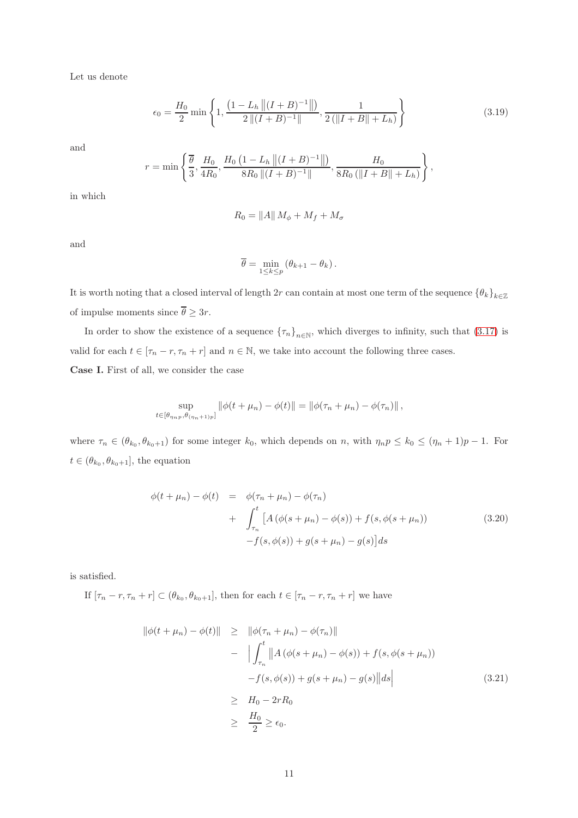Let us denote

<span id="page-10-2"></span>
$$
\epsilon_0 = \frac{H_0}{2} \min \left\{ 1, \frac{\left(1 - L_h \left\| (I + B)^{-1} \right\| \right)}{2 \left\| (I + B)^{-1} \right\|}, \frac{1}{2 \left( \| I + B \| + L_h \right)} \right\} \tag{3.19}
$$

and

$$
r = \min\left\{\frac{\overline{\theta}}{3}, \frac{H_0}{4R_0}, \frac{H_0\left(1 - L_h \left\|(I + B)^{-1}\right\|\right)}{8R_0 \left\|(I + B)^{-1}\right\|}, \frac{H_0}{8R_0 \left(\|I + B\| + L_h\right)}\right\},\right\}
$$

in which

$$
R_0 = ||A|| M_{\phi} + M_f + M_{\sigma}
$$

and

$$
\overline{\theta} = \min_{1 \leq k \leq p} (\theta_{k+1} - \theta_k).
$$

It is worth noting that a closed interval of length 2r can contain at most one term of the sequence  $\{\theta_k\}_{k\in\mathbb{Z}}$ of impulse moments since  $\overline{\theta} \geq 3r$ .

In order to show the existence of a sequence  $\{\tau_n\}_{n\in\mathbb{N}}$ , which diverges to infinity, such that  $(3.17)$  is valid for each  $t \in [\tau_n - r, \tau_n + r]$  and  $n \in \mathbb{N}$ , we take into account the following three cases.

Case I. First of all, we consider the case

$$
\sup_{t \in [\theta_{\eta_n p}, \theta_{(\eta_n+1)p}]} \|\phi(t + \mu_n) - \phi(t)\| = \|\phi(\tau_n + \mu_n) - \phi(\tau_n)\|,
$$

where  $\tau_n \in (\theta_{k_0}, \theta_{k_0+1})$  for some integer  $k_0$ , which depends on n, with  $\eta_n p \leq k_0 \leq (\eta_n + 1)p - 1$ . For  $t \in (\theta_{k_0}, \theta_{k_0+1}],$  the equation

<span id="page-10-1"></span>
$$
\phi(t + \mu_n) - \phi(t) = \phi(\tau_n + \mu_n) - \phi(\tau_n) \n+ \int_{\tau_n}^t \left[ A(\phi(s + \mu_n) - \phi(s)) + f(s, \phi(s + \mu_n)) \right] \n- f(s, \phi(s)) + g(s + \mu_n) - g(s) \right] ds
$$
\n(3.20)

is satisfied.

If  $[\tau_n - r, \tau_n + r] \subset (\theta_{k_0}, \theta_{k_0+1}],$  then for each  $t \in [\tau_n - r, \tau_n + r]$  we have

<span id="page-10-0"></span>
$$
\|\phi(t + \mu_n) - \phi(t)\| \geq \|\phi(\tau_n + \mu_n) - \phi(\tau_n)\| - \left| \int_{\tau_n}^t \|A(\phi(s + \mu_n) - \phi(s)) + f(s, \phi(s + \mu_n)) - f(s, \phi(s)) + g(s + \mu_n) - g(s) \|ds \right| \geq H_0 - 2rR_0 \geq \frac{H_0}{2} \geq \epsilon_0.
$$
\n(3.21)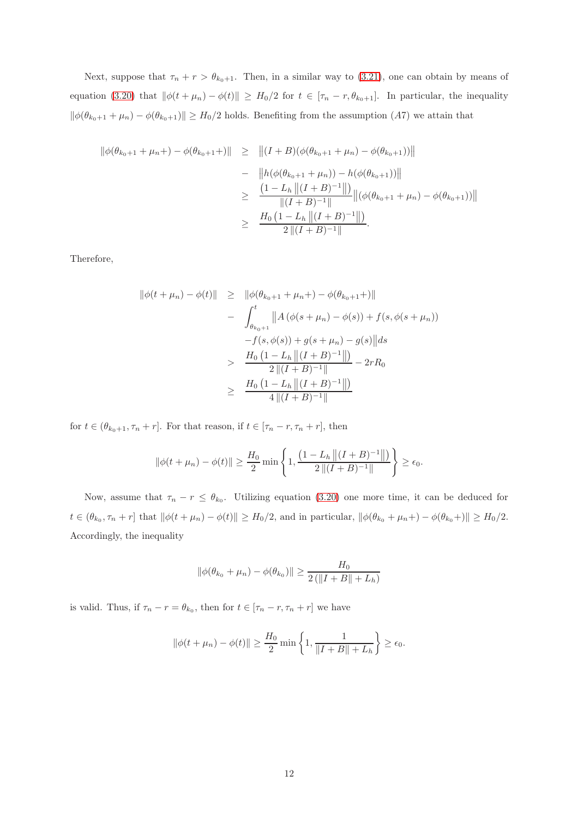Next, suppose that  $\tau_n + r > \theta_{k_0+1}$ . Then, in a similar way to [\(3.21\)](#page-10-0), one can obtain by means of equation [\(3.20\)](#page-10-1) that  $\|\phi(t + \mu_n) - \phi(t)\| \geq H_0/2$  for  $t \in [\tau_n - r, \theta_{k_0+1}]$ . In particular, the inequality  $\|\phi(\theta_{k_0+1} + \mu_n) - \phi(\theta_{k_0+1})\| \ge H_0/2$  holds. Benefiting from the assumption  $(A7)$  we attain that

$$
\begin{aligned}\n\|\phi(\theta_{k_0+1} + \mu_n +) - \phi(\theta_{k_0+1} +) \| &\geq \|(I + B)(\phi(\theta_{k_0+1} + \mu_n) - \phi(\theta_{k_0+1}))\| \\
&\quad - \|\hbar(\phi(\theta_{k_0+1} + \mu_n)) - \hbar(\phi(\theta_{k_0+1}))\| \\
&\geq \frac{(1 - L_h \|(I + B)^{-1}\|)}{\|(I + B)^{-1}\|} \|(\phi(\theta_{k_0+1} + \mu_n) - \phi(\theta_{k_0+1}))\| \\
&\geq \frac{H_0 \left(1 - L_h \|(I + B)^{-1}\|\right)}{2 \|(I + B)^{-1}\|}.\n\end{aligned}
$$

Therefore,

$$
\|\phi(t + \mu_n) - \phi(t)\| \geq \|\phi(\theta_{k_0+1} + \mu_n) - \phi(\theta_{k_0+1})\|
$$
  
- 
$$
\int_{\theta_{k_0+1}}^t \|A(\phi(s + \mu_n) - \phi(s)) + f(s, \phi(s + \mu_n))
$$
  
- 
$$
f(s, \phi(s)) + g(s + \mu_n) - g(s) \| ds
$$
  
> 
$$
\frac{H_0 (1 - L_h \| (I + B)^{-1} \|)}{2 \| (I + B)^{-1} \|} - 2rR_0
$$
  
\$\geq\$ 
$$
\frac{H_0 (1 - L_h \| (I + B)^{-1} \|)}{4 \| (I + B)^{-1} \|}
$$

for  $t \in (\theta_{k_0+1}, \tau_n+r]$ . For that reason, if  $t \in [\tau_n-r, \tau_n+r]$ , then

$$
\|\phi(t+\mu_n)-\phi(t)\| \ge \frac{H_0}{2}\min\left\{1,\frac{\left(1-L_h\left\|\left(I+B\right)^{-1}\right\|\right)}{2\left\|\left(I+B\right)^{-1}\right\|}\right\} \ge \epsilon_0.
$$

Now, assume that  $\tau_n - r \leq \theta_{k_0}$ . Utilizing equation [\(3.20\)](#page-10-1) one more time, it can be deduced for  $t \in (\theta_{k_0}, \tau_n + r]$  that  $\|\phi(t + \mu_n) - \phi(t)\| \ge H_0/2$ , and in particular,  $\|\phi(\theta_{k_0} + \mu_n) - \phi(\theta_{k_0})\| \ge H_0/2$ . Accordingly, the inequality

$$
\|\phi(\theta_{k_0} + \mu_n) - \phi(\theta_{k_0})\| \ge \frac{H_0}{2(\|I + B\| + L_h)}
$$

is valid. Thus, if  $\tau_n - r = \theta_{k_0}$ , then for  $t \in [\tau_n - r, \tau_n + r]$  we have

$$
\|\phi(t + \mu_n) - \phi(t)\| \ge \frac{H_0}{2} \min\left\{1, \frac{1}{\|I + B\| + L_h}\right\} \ge \epsilon_0.
$$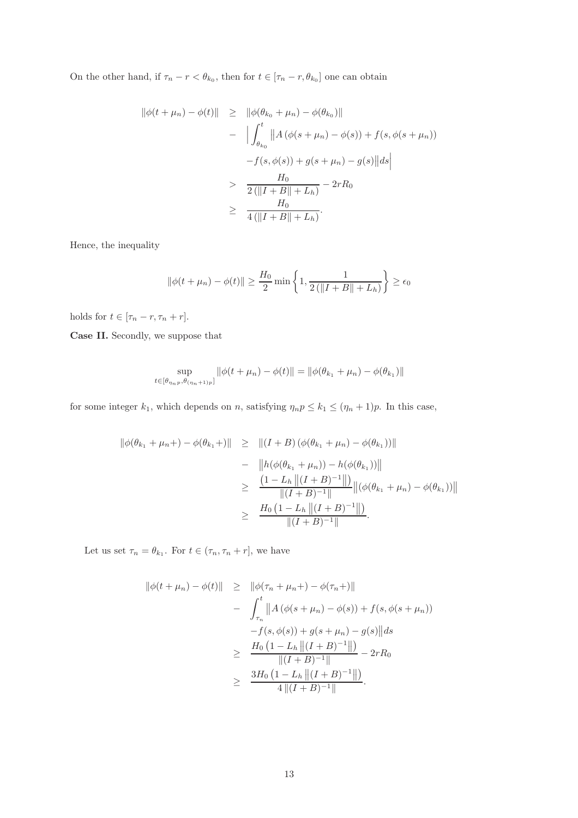On the other hand, if  $\tau_n - r < \theta_{k_0}$ , then for  $t \in [\tau_n - r, \theta_{k_0}]$  one can obtain

$$
\|\phi(t + \mu_n) - \phi(t)\| \geq \|\phi(\theta_{k_0} + \mu_n) - \phi(\theta_{k_0})\| - \left| \int_{\theta_{k_0}}^t \|A(\phi(s + \mu_n) - \phi(s)) + f(s, \phi(s + \mu_n)) \right| - f(s, \phi(s)) + g(s + \mu_n) - g(s) \|ds \Big| > \frac{H_0}{2(\|I + B\| + L_h)} - 2rR_0 \geq \frac{H_0}{4(\|I + B\| + L_h)}.
$$

Hence, the inequality

$$
\|\phi(t + \mu_n) - \phi(t)\| \ge \frac{H_0}{2} \min\left\{1, \frac{1}{2(\|I + B\| + L_h)}\right\} \ge \epsilon_0
$$

holds for  $t \in [\tau_n - r, \tau_n + r]$ .

Case II. Secondly, we suppose that

$$
\sup_{t \in [\theta_{\eta_n p}, \theta_{(\eta_n+1)p}]} \|\phi(t + \mu_n) - \phi(t)\| = \|\phi(\theta_{k_1} + \mu_n) - \phi(\theta_{k_1})\|
$$

for some integer  $k_1$ , which depends on n, satisfying  $\eta_n p \leq k_1 \leq (\eta_n + 1)p$ . In this case,

$$
\begin{array}{rcl} \|\phi(\theta_{k_1} + \mu_n +) - \phi(\theta_{k_1} +) \| & \geq & \|(I + B) \left( \phi(\theta_{k_1} + \mu_n) - \phi(\theta_{k_1}) \right) \| \\ & - & \left\| h(\phi(\theta_{k_1} + \mu_n)) - h(\phi(\theta_{k_1})) \right\| \\ & \geq & \frac{\left( 1 - L_h \left\| (I + B)^{-1} \right\| \right)}{\|(I + B)^{-1}\|} \left\| \left( \phi(\theta_{k_1} + \mu_n) - \phi(\theta_{k_1}) \right) \right\| \\ & \geq & \frac{H_0 \left( 1 - L_h \left\| (I + B)^{-1} \right\| \right)}{\|(I + B)^{-1}\|}. \end{array}
$$

Let us set  $\tau_n = \theta_{k_1}$ . For  $t \in (\tau_n, \tau_n + r]$ , we have

$$
\|\phi(t + \mu_n) - \phi(t)\| \geq \|\phi(\tau_n + \mu_n) - \phi(\tau_n +)\|
$$
  
- 
$$
\int_{\tau_n}^t \|A(\phi(s + \mu_n) - \phi(s)) + f(s, \phi(s + \mu_n))
$$
  
- 
$$
f(s, \phi(s)) + g(s + \mu_n) - g(s) \| ds
$$
  

$$
\geq \frac{H_0 (1 - L_h \| (I + B)^{-1} \|)}{\|(I + B)^{-1} \|} - 2rR_0
$$
  

$$
\geq \frac{3H_0 (1 - L_h \| (I + B)^{-1} \|)}{4 \| (I + B)^{-1} \|}.
$$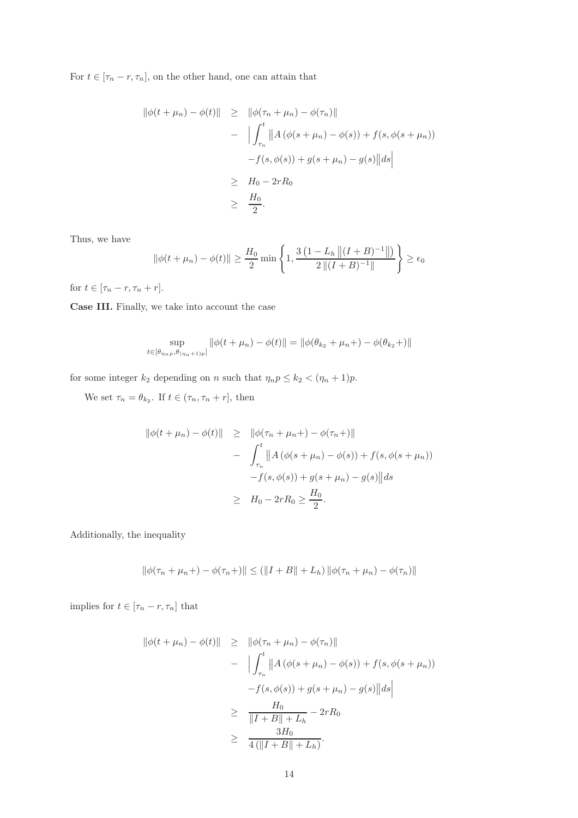For  $t\in[\tau_n-r,\tau_n],$  on the other hand, one can attain that

$$
\|\phi(t + \mu_n) - \phi(t)\| \geq \|\phi(\tau_n + \mu_n) - \phi(\tau_n)\| - \left| \int_{\tau_n}^t \|A(\phi(s + \mu_n) - \phi(s)) + f(s, \phi(s + \mu_n)) \right| - f(s, \phi(s)) + g(s + \mu_n) - g(s) \|ds \geq H_0 - 2rR_0 \geq \frac{H_0}{2}.
$$

Thus, we have

$$
\|\phi(t+\mu_n)-\phi(t)\| \ge \frac{H_0}{2}\min\left\{1,\frac{3\left(1-L_h\left\|\left(I+B\right)^{-1}\right\|\right)}{2\left\|\left(I+B\right)^{-1}\right\|}\right\} \ge \epsilon_0
$$

for  $t \in [\tau_n - r, \tau_n + r]$ .

Case III. Finally, we take into account the case

$$
\sup_{t \in [\theta_{\eta_n p}, \theta_{(\eta_n + 1)p}]} ||\phi(t + \mu_n) - \phi(t)|| = ||\phi(\theta_{k_2} + \mu_n +) - \phi(\theta_{k_2} +)||
$$

for some integer  $k_2$  depending on n such that  $\eta_n p \leq k_2 < (\eta_n + 1)p$ .

We set  $\tau_n = \theta_{k_2}$ . If  $t \in (\tau_n, \tau_n + r]$ , then

$$
\|\phi(t + \mu_n) - \phi(t)\| \geq \|\phi(\tau_n + \mu_n) - \phi(\tau_n +)\|
$$
  
- 
$$
\int_{\tau_n}^t \|A(\phi(s + \mu_n) - \phi(s)) + f(s, \phi(s + \mu_n))
$$
  
- 
$$
f(s, \phi(s)) + g(s + \mu_n) - g(s) \| ds
$$
  

$$
\geq H_0 - 2rR_0 \geq \frac{H_0}{2}.
$$

Additionally, the inequality

$$
\|\phi(\tau_n + \mu_n +) - \phi(\tau_n +)\| \le (\|I + B\| + L_h) \|\phi(\tau_n + \mu_n) - \phi(\tau_n)\|
$$

implies for  $t\in [\tau_n-r,\tau_n]$  that

$$
\|\phi(t + \mu_n) - \phi(t)\| \geq \|\phi(\tau_n + \mu_n) - \phi(\tau_n)\| - \left| \int_{\tau_n}^t \|A(\phi(s + \mu_n) - \phi(s)) + f(s, \phi(s + \mu_n))\right| - f(s, \phi(s)) + g(s + \mu_n) - g(s) \|ds \geq \frac{H_0}{\|I + B\| + L_h} - 2rR_0 \geq \frac{3H_0}{4(\|I + B\| + L_h)}.
$$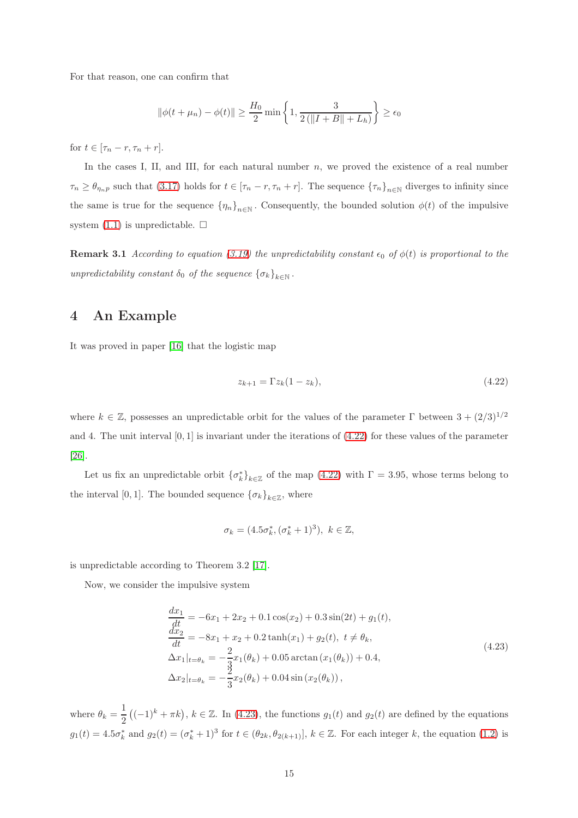For that reason, one can confirm that

$$
\|\phi(t + \mu_n) - \phi(t)\| \ge \frac{H_0}{2} \min\left\{1, \frac{3}{2(\|I + B\| + L_h)}\right\} \ge \epsilon_0
$$

for  $t \in [\tau_n - r, \tau_n + r]$ .

In the cases I, II, and III, for each natural number  $n$ , we proved the existence of a real number  $\tau_n \geq \theta_{\eta_n p}$  such that [\(3.17\)](#page-8-1) holds for  $t \in [\tau_n - r, \tau_n + r]$ . The sequence  ${\{\tau_n\}}_{n \in \mathbb{N}}$  diverges to infinity since the same is true for the sequence  $\{\eta_n\}_{n\in\mathbb{N}}$ . Consequently, the bounded solution  $\phi(t)$  of the impulsive system  $(1.1)$  is unpredictable.  $\Box$ 

<span id="page-14-0"></span>**Remark 3.1** According to equation [\(3.19\)](#page-10-2) the unpredictability constant  $\epsilon_0$  of  $\phi(t)$  is proportional to the unpredictability constant  $\delta_0$  of the sequence  ${\{\sigma_k\}}_{k\in\mathbb{N}}$ .

#### 4 An Example

It was proved in paper [\[16\]](#page-18-10) that the logistic map

<span id="page-14-1"></span>
$$
z_{k+1} = \Gamma z_k (1 - z_k), \tag{4.22}
$$

where  $k \in \mathbb{Z}$ , possesses an unpredictable orbit for the values of the parameter  $\Gamma$  between  $3 + (2/3)^{1/2}$ and 4. The unit interval  $[0, 1]$  is invariant under the iterations of  $(4.22)$  for these values of the parameter [\[26\]](#page-18-11).

Let us fix an unpredictable orbit  $\{\sigma_k^*\}_{k\in\mathbb{Z}}$  of the map [\(4.22\)](#page-14-1) with  $\Gamma = 3.95$ , whose terms belong to the interval [0, 1]. The bounded sequence  ${\{\sigma_k\}}_{k\in\mathbb{Z}}$ , where

$$
\sigma_k = (4.5\sigma_k^*, (\sigma_k^* + 1)^3), \ k \in \mathbb{Z},
$$

is unpredictable according to Theorem 3.2 [\[17\]](#page-18-1).

Now, we consider the impulsive system

<span id="page-14-2"></span>
$$
\frac{dx_1}{dt} = -6x_1 + 2x_2 + 0.1\cos(x_2) + 0.3\sin(2t) + g_1(t),
$$
  
\n
$$
\frac{dx_2}{dt} = -8x_1 + x_2 + 0.2\tanh(x_1) + g_2(t), \ t \neq \theta_k,
$$
  
\n
$$
\Delta x_1|_{t=\theta_k} = -\frac{2}{3}x_1(\theta_k) + 0.05\arctan(x_1(\theta_k)) + 0.4,
$$
  
\n
$$
\Delta x_2|_{t=\theta_k} = -\frac{2}{3}x_2(\theta_k) + 0.04\sin(x_2(\theta_k)),
$$
\n(4.23)

where  $\theta_k = \frac{1}{2}$ 2  $((-1)^k + \pi k)$ ,  $k \in \mathbb{Z}$ . In [\(4.23\)](#page-14-2), the functions  $g_1(t)$  and  $g_2(t)$  are defined by the equations  $g_1(t) = 4.5\sigma_k^*$  and  $g_2(t) = (\sigma_k^* + 1)^3$  for  $t \in (\theta_{2k}, \theta_{2(k+1)}], k \in \mathbb{Z}$ . For each integer k, the equation [\(1.2\)](#page-1-2) is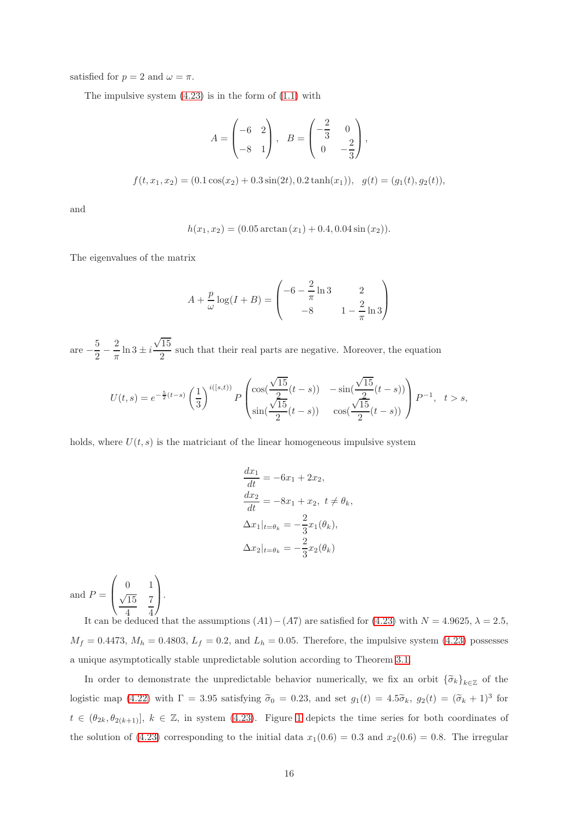satisfied for  $p = 2$  and  $\omega = \pi$ .

The impulsive system  $(4.23)$  is in the form of  $(1.1)$  with

$$
A = \begin{pmatrix} -6 & 2 \\ -8 & 1 \end{pmatrix}, B = \begin{pmatrix} -\frac{2}{3} & 0 \\ 0 & -\frac{2}{3} \end{pmatrix},
$$
  

$$
f(t, x_1, x_2) = (0.1 \cos(x_2) + 0.3 \sin(2t), 0.2 \tanh(x_1)), g(t) = (g_1(t), g_2(t)),
$$

and

$$
h(x_1, x_2) = (0.05 \arctan(x_1) + 0.4, 0.04 \sin(x_2)).
$$

The eigenvalues of the matrix

$$
A + \frac{p}{\omega} \log(I + B) = \begin{pmatrix} -6 - \frac{2}{\pi} \ln 3 & 2\\ -8 & 1 - \frac{2}{\pi} \ln 3 \end{pmatrix}
$$

are  $-\frac{5}{2}$  $\frac{1}{2}$  – 2  $\frac{2}{\pi} \ln 3 \pm i$  $\sqrt{15}$  $\frac{10}{2}$  such that their real parts are negative. Moreover, the equation

$$
U(t,s) = e^{-\frac{5}{2}(t-s)} \left(\frac{1}{3}\right)^{i([s,t))} P\left(\frac{\cos(\frac{\sqrt{15}}{2}(t-s))}{\sin(\frac{\sqrt{15}}{2}(t-s))} - \sin(\frac{\sqrt{15}}{2}(t-s))\right) P^{-1}, \quad t > s,
$$

holds, where  $U(t, s)$  is the matriciant of the linear homogeneous impulsive system

$$
\frac{dx_1}{dt} = -6x_1 + 2x_2,
$$
  
\n
$$
\frac{dx_2}{dt} = -8x_1 + x_2, t \neq \theta_k,
$$
  
\n
$$
\Delta x_1|_{t=\theta_k} = -\frac{2}{3}x_1(\theta_k),
$$
  
\n
$$
\Delta x_2|_{t=\theta_k} = -\frac{2}{3}x_2(\theta_k)
$$

and  $P =$  $\sqrt{ }$  $\overline{ }$ 0 1  $\sqrt{15}$ 4 7 4  $\setminus$  $\vert \cdot$ 

It can be deduced that the assumptions  $(A1) - (A7)$  are satisfied for  $(4.23)$  with  $N = 4.9625$ ,  $\lambda = 2.5$ ,  $M_f = 0.4473$ ,  $M_h = 0.4803$ ,  $L_f = 0.2$ , and  $L_h = 0.05$ . Therefore, the impulsive system [\(4.23\)](#page-14-2) possesses a unique asymptotically stable unpredictable solution according to Theorem [3.1.](#page-8-2)

In order to demonstrate the unpredictable behavior numerically, we fix an orbit  $\{\tilde{\sigma}_k\}_{k\in\mathbb{Z}}$  of the logistic map [\(4.22\)](#page-14-1) with  $\Gamma = 3.95$  satisfying  $\tilde{\sigma}_0 = 0.23$ , and set  $g_1(t) = 4.5\tilde{\sigma}_k$ ,  $g_2(t) = (\tilde{\sigma}_k + 1)^3$  for  $t \in (\theta_{2k}, \theta_{2(k+1)}], k \in \mathbb{Z}$ , in system [\(4.23\)](#page-14-2). Figure [1](#page-16-1) depicts the time series for both coordinates of the solution of [\(4.23\)](#page-14-2) corresponding to the initial data  $x_1(0.6) = 0.3$  and  $x_2(0.6) = 0.8$ . The irregular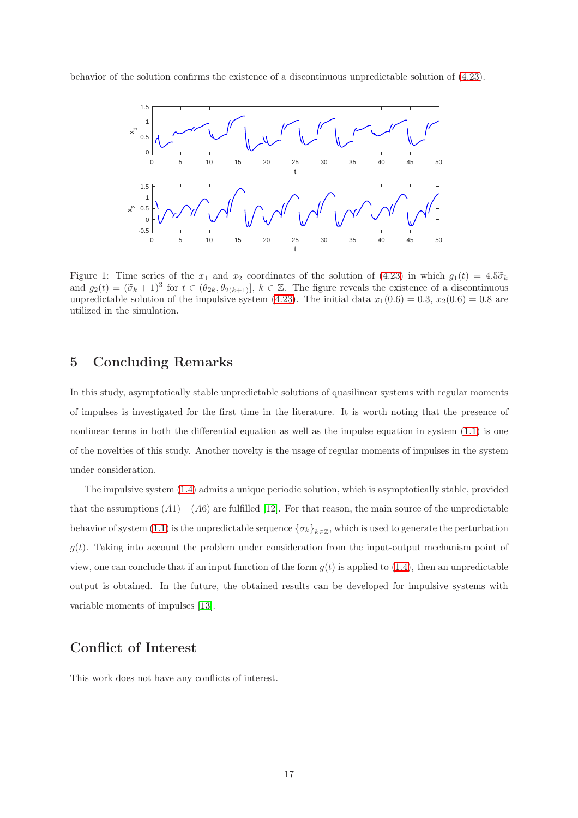behavior of the solution confirms the existence of a discontinuous unpredictable solution of [\(4.23\)](#page-14-2).



<span id="page-16-1"></span>Figure 1: Time series of the  $x_1$  and  $x_2$  coordinates of the solution of [\(4.23\)](#page-14-2) in which  $g_1(t) = 4.5\tilde{\sigma}_k$ and  $g_2(t) = (\tilde{\sigma}_k + 1)^3$  for  $t \in (\theta_{2k}, \theta_{2(k+1)}], k \in \mathbb{Z}$ . The figure reveals the existence of a discontinuous unpredictable solution of the impulsive system [\(4.23\)](#page-14-2). The initial data  $x_1(0.6) = 0.3$ ,  $x_2(0.6) = 0.8$  are utilized in the simulation.

#### <span id="page-16-0"></span>5 Concluding Remarks

In this study, asymptotically stable unpredictable solutions of quasilinear systems with regular moments of impulses is investigated for the first time in the literature. It is worth noting that the presence of nonlinear terms in both the differential equation as well as the impulse equation in system [\(1.1\)](#page-1-0) is one of the novelties of this study. Another novelty is the usage of regular moments of impulses in the system under consideration.

The impulsive system [\(1.4\)](#page-1-1) admits a unique periodic solution, which is asymptotically stable, provided that the assumptions  $(A1)-(A6)$  are fulfilled [\[12\]](#page-17-4). For that reason, the main source of the unpredictable behavior of system [\(1.1\)](#page-1-0) is the unpredictable sequence  $\{\sigma_k\}_{k\in\mathbb{Z}}$ , which is used to generate the perturbation  $g(t)$ . Taking into account the problem under consideration from the input-output mechanism point of view, one can conclude that if an input function of the form  $g(t)$  is applied to [\(1.4\)](#page-1-1), then an unpredictable output is obtained. In the future, the obtained results can be developed for impulsive systems with variable moments of impulses [\[13\]](#page-17-3).

## Conflict of Interest

This work does not have any conflicts of interest.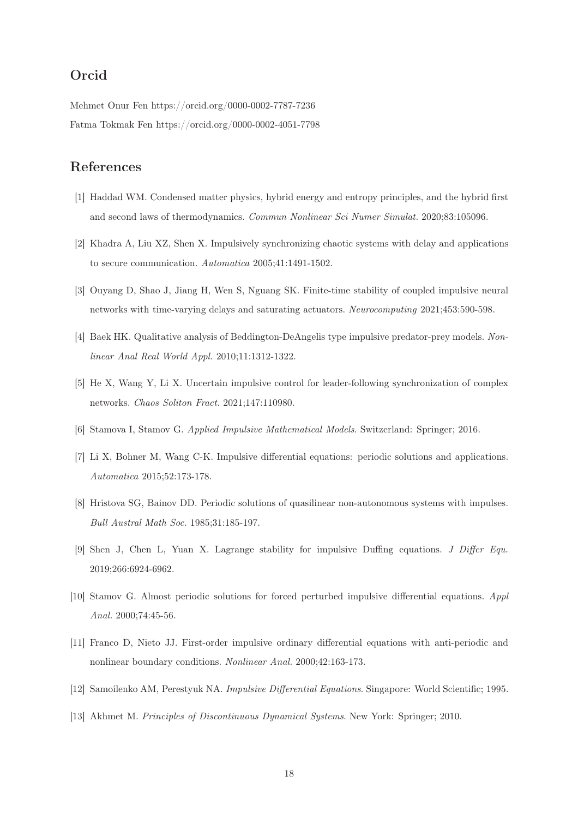# Orcid

Mehmet Onur Fen https://orcid.org/0000-0002-7787-7236 Fatma Tokmak Fen https://orcid.org/0000-0002-4051-7798

# <span id="page-17-0"></span>References

- [1] Haddad WM. Condensed matter physics, hybrid energy and entropy principles, and the hybrid first and second laws of thermodynamics. Commun Nonlinear Sci Numer Simulat. 2020;83:105096.
- [2] Khadra A, Liu XZ, Shen X. Impulsively synchronizing chaotic systems with delay and applications to secure communication. Automatica 2005;41:1491-1502.
- [3] Ouyang D, Shao J, Jiang H, Wen S, Nguang SK. Finite-time stability of coupled impulsive neural networks with time-varying delays and saturating actuators. Neurocomputing 2021;453:590-598.
- [4] Baek HK. Qualitative analysis of Beddington-DeAngelis type impulsive predator-prey models. Nonlinear Anal Real World Appl. 2010;11:1312-1322.
- <span id="page-17-1"></span>[5] He X, Wang Y, Li X. Uncertain impulsive control for leader-following synchronization of complex networks. Chaos Soliton Fract. 2021;147:110980.
- <span id="page-17-2"></span>[6] Stamova I, Stamov G. Applied Impulsive Mathematical Models. Switzerland: Springer; 2016.
- [7] Li X, Bohner M, Wang C-K. Impulsive differential equations: periodic solutions and applications. Automatica 2015;52:173-178.
- [8] Hristova SG, Bainov DD. Periodic solutions of quasilinear non-autonomous systems with impulses. Bull Austral Math Soc. 1985;31:185-197.
- [9] Shen J, Chen L, Yuan X. Lagrange stability for impulsive Duffing equations. J Differ Equ. 2019;266:6924-6962.
- [10] Stamov G. Almost periodic solutions for forced perturbed impulsive differential equations. Appl Anal. 2000;74:45-56.
- <span id="page-17-4"></span>[11] Franco D, Nieto JJ. First-order impulsive ordinary differential equations with anti-periodic and nonlinear boundary conditions. Nonlinear Anal. 2000;42:163-173.
- <span id="page-17-3"></span>[12] Samoilenko AM, Perestyuk NA. Impulsive Differential Equations. Singapore: World Scientific; 1995.
- [13] Akhmet M. Principles of Discontinuous Dynamical Systems. New York: Springer; 2010.